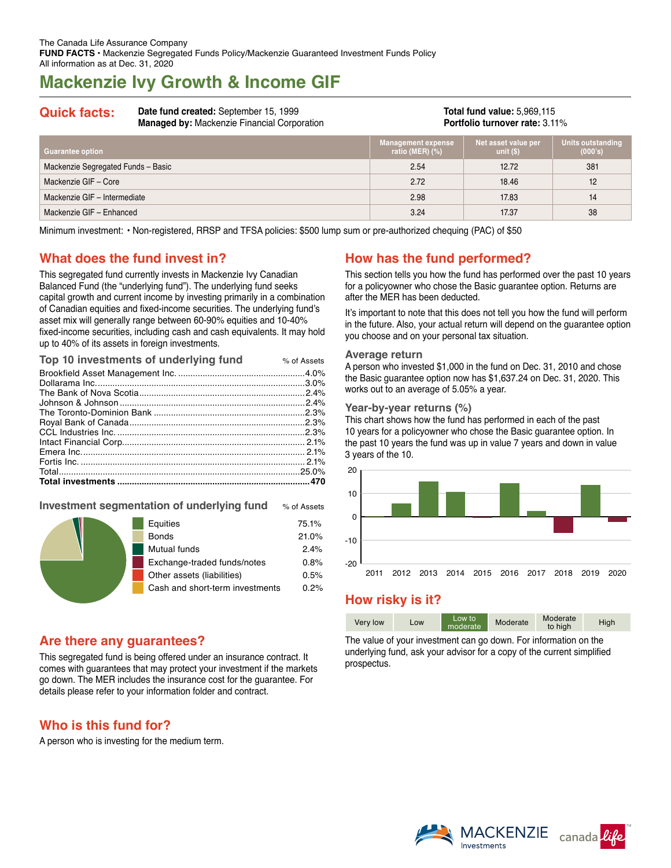# **Mackenzie Ivy Growth & Income GIF**

**Quick facts: Date fund created:** September 15, 1999 **Managed by:** Mackenzie Financial Corporation

**Total fund value:** 5,969,115 **Portfolio turnover rate:** 3.11%

| <b>Guarantee option</b>            | <b>Management expense</b><br>ratio (MER) $(\%)$ | Net asset value per<br>unit $(S)$ | Units outstanding<br>(000's) |
|------------------------------------|-------------------------------------------------|-----------------------------------|------------------------------|
| Mackenzie Segregated Funds - Basic | 2.54                                            | 12.72                             | 381                          |
| Mackenzie GIF - Core               | 2.72                                            | 18.46                             | 12                           |
| Mackenzie GIF - Intermediate       | 2.98                                            | 17.83                             | 14                           |
| Mackenzie GIF - Enhanced           | 3.24                                            | 17.37                             | 38                           |

Minimum investment: • Non-registered, RRSP and TFSA policies: \$500 lump sum or pre-authorized chequing (PAC) of \$50

## **What does the fund invest in?**

This segregated fund currently invests in Mackenzie Ivy Canadian Balanced Fund (the "underlying fund"). The underlying fund seeks capital growth and current income by investing primarily in a combination of Canadian equities and fixed-income securities. The underlying fund's asset mix will generally range between 60-90% equities and 10-40% fixed-income securities, including cash and cash equivalents. It may hold up to 40% of its assets in foreign investments.

| Top 10 investments of underlying fund | % of Assets |
|---------------------------------------|-------------|
|                                       |             |
|                                       |             |
|                                       |             |
|                                       |             |
|                                       |             |
|                                       |             |
|                                       |             |
|                                       |             |
|                                       |             |
|                                       |             |
|                                       |             |
|                                       |             |
|                                       |             |

### **Investment segmentation of underlying fund** % of Assets

|  | Equities                        | 75.1% |
|--|---------------------------------|-------|
|  | <b>Bonds</b>                    | 21.0% |
|  | Mutual funds                    | 2.4%  |
|  | Exchange-traded funds/notes     | 0.8%  |
|  | Other assets (liabilities)      | 0.5%  |
|  | Cash and short-term investments | 0.2%  |
|  |                                 |       |

## **Are there any guarantees?**

This segregated fund is being offered under an insurance contract. It comes with guarantees that may protect your investment if the markets go down. The MER includes the insurance cost for the guarantee. For details please refer to your information folder and contract.

## **Who is this fund for?**

A person who is investing for the medium term.

## **How has the fund performed?**

This section tells you how the fund has performed over the past 10 years for a policyowner who chose the Basic guarantee option. Returns are after the MER has been deducted.

It's important to note that this does not tell you how the fund will perform in the future. Also, your actual return will depend on the guarantee option you choose and on your personal tax situation.

#### **Average return**

A person who invested \$1,000 in the fund on Dec. 31, 2010 and chose the Basic guarantee option now has \$1,637.24 on Dec. 31, 2020. This works out to an average of 5.05% a year.

#### **Year-by-year returns (%)**

This chart shows how the fund has performed in each of the past 10 years for a policyowner who chose the Basic guarantee option. In the past 10 years the fund was up in value 7 years and down in value 3 years of the 10.



## **How risky is it?**

| Very low | Low | Low to<br>moderate | Moderate | Moderate<br>to high | High |
|----------|-----|--------------------|----------|---------------------|------|

The value of your investment can go down. For information on the underlying fund, ask your advisor for a copy of the current simplified prospectus.